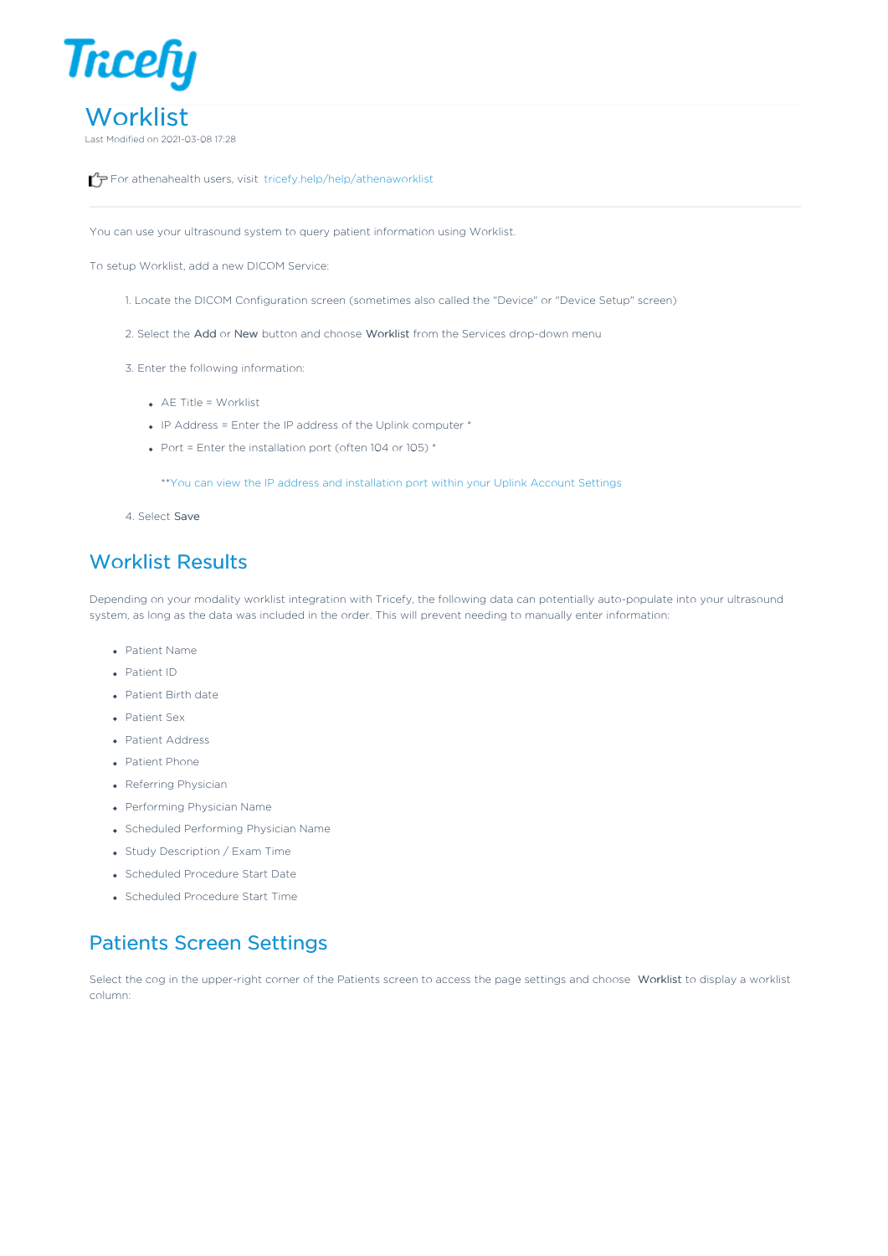

For athenahealth users, visit tricefy.help/help/athenaworklist

You can use your ultrasound system to query patient information using Worklist.

To setup Worklist, add a new DICOM Service:

- 1. Locate the DICOM Configuration screen (sometimes also called the "Device" or "Device Setup" screen)
- 2. Select the Add or New button and choose Worklist from the Services drop-down menu
- 3. Enter the following information:
	- AE Title = Worklist
	- $\bullet$  IP Address = Enter the IP address of the Uplink computer  $^*$
	- Port = Enter the installation port (often 104 or 105)  $*$

\*\*You can view the IP address and installation port within your Uplink Account Settings

4. Select Save

## Worklist Results

Depending on your modality worklist integration with Tricefy, the following data can potentially auto-populate into your ultrasound system, as long as the data was included in the order. This will prevent needing to manually enter information:

- Patient Name
- Patient ID
- Patient Birth date
- Patient Sex
- Patient Address
- Patient Phone
- Referring Physician
- Performing Physician Name
- Scheduled Performing Physician Name
- Study Description / Exam Time
- Scheduled Procedure Start Date
- Scheduled Procedure Start Time

## Patients Screen Settings

Select the cog in the upper-right corner of the Patients screen to access the page settings and choose Worklist to display a worklist column: